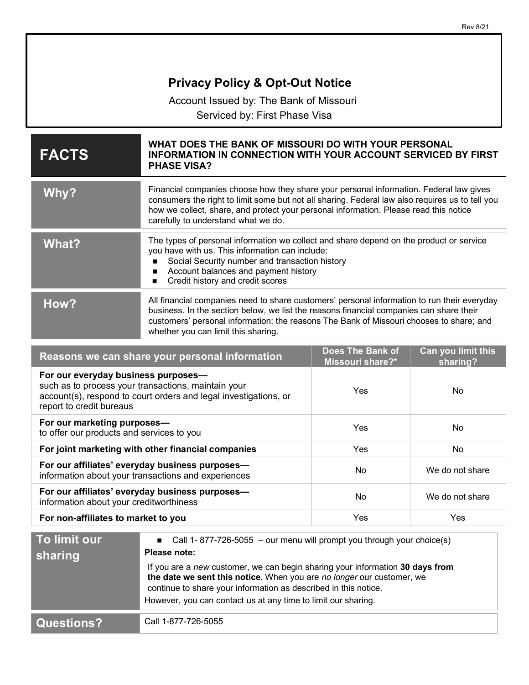| <b>Privacy Policy &amp; Opt-Out Notice</b>                                                                                                                                                 |                                                                                                                                                                                                                                                                                                                                                                                     |                                             |                                |
|--------------------------------------------------------------------------------------------------------------------------------------------------------------------------------------------|-------------------------------------------------------------------------------------------------------------------------------------------------------------------------------------------------------------------------------------------------------------------------------------------------------------------------------------------------------------------------------------|---------------------------------------------|--------------------------------|
| Account Issued by: The Bank of Missouri                                                                                                                                                    |                                                                                                                                                                                                                                                                                                                                                                                     |                                             |                                |
| Serviced by: First Phase Visa                                                                                                                                                              |                                                                                                                                                                                                                                                                                                                                                                                     |                                             |                                |
| <b>FACTS</b>                                                                                                                                                                               | WHAT DOES THE BANK OF MISSOURI DO WITH YOUR PERSONAL<br><b>INFORMATION IN CONNECTION WITH YOUR ACCOUNT SERVICED BY FIRST</b><br><b>PHASE VISA?</b>                                                                                                                                                                                                                                  |                                             |                                |
| Why?                                                                                                                                                                                       | Financial companies choose how they share your personal information. Federal law gives<br>consumers the right to limit some but not all sharing. Federal law also requires us to tell you<br>how we collect, share, and protect your personal information. Please read this notice<br>carefully to understand what we do.                                                           |                                             |                                |
| <b>What?</b>                                                                                                                                                                               | The types of personal information we collect and share depend on the product or service<br>you have with us. This information can include:<br>Social Security number and transaction history<br>Account balances and payment history<br>Credit history and credit scores<br>П                                                                                                       |                                             |                                |
| How?                                                                                                                                                                                       | All financial companies need to share customers' personal information to run their everyday<br>business. In the section below, we list the reasons financial companies can share their<br>customers' personal information; the reasons The Bank of Missouri chooses to share; and<br>whether you can limit this sharing.                                                            |                                             |                                |
| Reasons we can share your personal information                                                                                                                                             |                                                                                                                                                                                                                                                                                                                                                                                     | <b>Does The Bank of</b><br>Missouri share?* | Can you limit this<br>sharing? |
| For our everyday business purposes-<br>such as to process your transactions, maintain your<br>account(s), respond to court orders and legal investigations, or<br>report to credit bureaus |                                                                                                                                                                                                                                                                                                                                                                                     | Yes                                         | No                             |
| For our marketing purposes-<br>to offer our products and services to you                                                                                                                   |                                                                                                                                                                                                                                                                                                                                                                                     | Yes                                         | No                             |
| For joint marketing with other financial companies                                                                                                                                         |                                                                                                                                                                                                                                                                                                                                                                                     | Yes                                         | No                             |
| For our affiliates' everyday business purposes-<br>information about your transactions and experiences                                                                                     |                                                                                                                                                                                                                                                                                                                                                                                     | No                                          | We do not share                |
| For our affiliates' everyday business purposes-<br>information about your creditworthiness                                                                                                 |                                                                                                                                                                                                                                                                                                                                                                                     | No                                          | We do not share                |
| For non-affiliates to market to you                                                                                                                                                        |                                                                                                                                                                                                                                                                                                                                                                                     | Yes                                         | Yes                            |
| To limit our<br>sharing                                                                                                                                                                    | Call 1-877-726-5055 - our menu will prompt you through your choice(s)<br>Please note:<br>If you are a new customer, we can begin sharing your information 30 days from<br>the date we sent this notice. When you are no longer our customer, we<br>continue to share your information as described in this notice.<br>However, you can contact us at any time to limit our sharing. |                                             |                                |
| <b>Questions?</b>                                                                                                                                                                          | Call 1-877-726-5055                                                                                                                                                                                                                                                                                                                                                                 |                                             |                                |

Rev 8/21